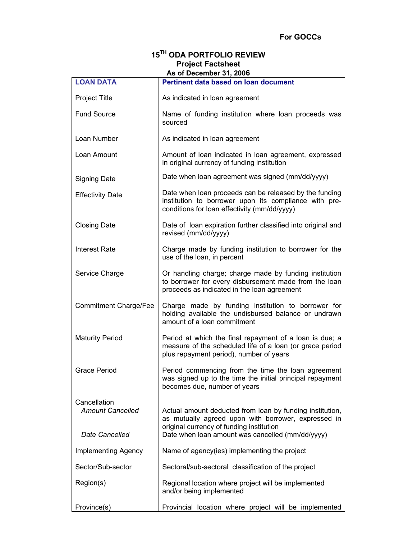# **15TH ODA PORTFOLIO REVIEW Project Factsheet As of December 31, 2006**

|                                         | AS OF DECENTIQUE 31, ZUUD                                                                                                                                       |
|-----------------------------------------|-----------------------------------------------------------------------------------------------------------------------------------------------------------------|
| <b>LOAN DATA</b>                        | Pertinent data based on loan document                                                                                                                           |
| <b>Project Title</b>                    | As indicated in loan agreement                                                                                                                                  |
| <b>Fund Source</b>                      | Name of funding institution where loan proceeds was<br>sourced                                                                                                  |
| Loan Number                             | As indicated in loan agreement                                                                                                                                  |
| Loan Amount                             | Amount of loan indicated in loan agreement, expressed<br>in original currency of funding institution                                                            |
| <b>Signing Date</b>                     | Date when loan agreement was signed (mm/dd/yyyy)                                                                                                                |
| <b>Effectivity Date</b>                 | Date when loan proceeds can be released by the funding<br>institution to borrower upon its compliance with pre-<br>conditions for loan effectivity (mm/dd/yyyy) |
| <b>Closing Date</b>                     | Date of loan expiration further classified into original and<br>revised (mm/dd/yyyy)                                                                            |
| Interest Rate                           | Charge made by funding institution to borrower for the<br>use of the loan, in percent                                                                           |
| Service Charge                          | Or handling charge; charge made by funding institution<br>to borrower for every disbursement made from the loan<br>proceeds as indicated in the loan agreement  |
| <b>Commitment Charge/Fee</b>            | Charge made by funding institution to borrower for<br>holding available the undisbursed balance or undrawn<br>amount of a loan commitment                       |
| <b>Maturity Period</b>                  | Period at which the final repayment of a loan is due; a<br>measure of the scheduled life of a loan (or grace period<br>plus repayment period), number of years  |
| <b>Grace Period</b>                     | Period commencing from the time the loan agreement<br>was signed up to the time the initial principal repayment<br>becomes due, number of years                 |
| Cancellation<br><b>Amount Cancelled</b> | Actual amount deducted from loan by funding institution,<br>as mutually agreed upon with borrower, expressed in<br>original currency of funding institution     |
| Date Cancelled                          | Date when loan amount was cancelled (mm/dd/yyyy)                                                                                                                |
| <b>Implementing Agency</b>              | Name of agency(ies) implementing the project                                                                                                                    |
| Sector/Sub-sector                       | Sectoral/sub-sectoral classification of the project                                                                                                             |
| Region(s)                               | Regional location where project will be implemented<br>and/or being implemented                                                                                 |
| Province(s)                             | Provincial location where project will be implemented                                                                                                           |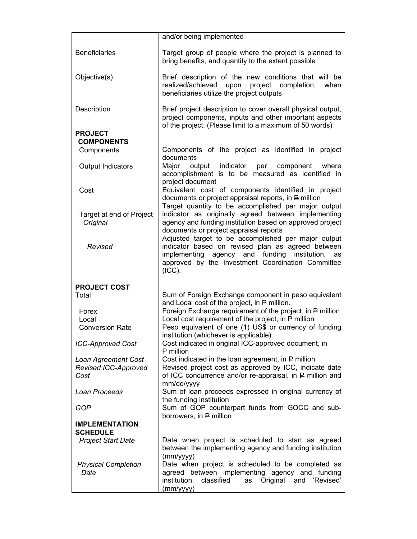|                            | and/or being implemented                                                                                                                                                         |
|----------------------------|----------------------------------------------------------------------------------------------------------------------------------------------------------------------------------|
| <b>Beneficiaries</b>       | Target group of people where the project is planned to<br>bring benefits, and quantity to the extent possible                                                                    |
| Objective(s)               | Brief description of the new conditions that will be<br>realized/achieved<br>project completion,<br>upon<br>when<br>beneficiaries utilize the project outputs                    |
| Description                | Brief project description to cover overall physical output,<br>project components, inputs and other important aspects<br>of the project. (Please limit to a maximum of 50 words) |
| <b>PROJECT</b>             |                                                                                                                                                                                  |
| <b>COMPONENTS</b>          |                                                                                                                                                                                  |
| Components                 | Components of the project as identified in project<br>documents                                                                                                                  |
| <b>Output Indicators</b>   | Major<br>output<br>indicator per<br>component<br>where<br>accomplishment is to be measured as identified in<br>project document                                                  |
| Cost                       | Equivalent cost of components identified in project<br>documents or project appraisal reports, in P million<br>Target quantity to be accomplished per major output               |
| Target at end of Project   | indicator as originally agreed between implementing                                                                                                                              |
| Original                   | agency and funding institution based on approved project                                                                                                                         |
|                            | documents or project appraisal reports<br>Adjusted target to be accomplished per major output                                                                                    |
| Revised                    | indicator based on revised plan as agreed between                                                                                                                                |
|                            | implementing agency and funding institution,<br>as<br>approved by the Investment Coordination Committee<br>(ICC).                                                                |
| <b>PROJECT COST</b>        |                                                                                                                                                                                  |
| Total                      | Sum of Foreign Exchange component in peso equivalent                                                                                                                             |
|                            | and Local cost of the project, in P million.                                                                                                                                     |
| Forex<br>Local             | Foreign Exchange requirement of the project, in P million<br>Local cost requirement of the project, in P million                                                                 |
| <b>Conversion Rate</b>     | Peso equivalent of one (1) US\$ or currency of funding                                                                                                                           |
|                            | institution (whichever is applicable).                                                                                                                                           |
| <b>ICC-Approved Cost</b>   | Cost indicated in original ICC-approved document, in<br>P million                                                                                                                |
| Loan Agreement Cost        | Cost indicated in the loan agreement, in P million                                                                                                                               |
| Revised ICC-Approved       | Revised project cost as approved by ICC, indicate date                                                                                                                           |
| Cost                       | of ICC concurrence and/or re-appraisal, in P million and                                                                                                                         |
| Loan Proceeds              | mm/dd/yyyy<br>Sum of loan proceeds expressed in original currency of                                                                                                             |
|                            | the funding institution                                                                                                                                                          |
| GOP                        | Sum of GOP counterpart funds from GOCC and sub-                                                                                                                                  |
| <b>IMPLEMENTATION</b>      | borrowers, in P million                                                                                                                                                          |
| <b>SCHEDULE</b>            |                                                                                                                                                                                  |
| <b>Project Start Date</b>  | Date when project is scheduled to start as agreed                                                                                                                                |
|                            | between the implementing agency and funding institution<br>(mm/yyyy)                                                                                                             |
| <b>Physical Completion</b> | Date when project is scheduled to be completed as                                                                                                                                |
| Date                       | agreed between implementing agency and funding                                                                                                                                   |
|                            | institution,<br>as 'Original' and 'Revised'<br>classified                                                                                                                        |
|                            | (mm/yyyy)                                                                                                                                                                        |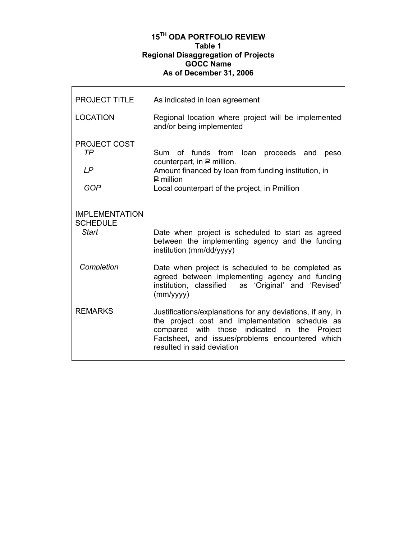## **15TH ODA PORTFOLIO REVIEW Table 1 Regional Disaggregation of Projects GOCC Name As of December 31, 2006**

 $\mathsf{r}$ 

| <b>PROJECT TITLE</b>                                 | As indicated in loan agreement                                                                                                                                                                                                                     |
|------------------------------------------------------|----------------------------------------------------------------------------------------------------------------------------------------------------------------------------------------------------------------------------------------------------|
| <b>LOCATION</b>                                      | Regional location where project will be implemented<br>and/or being implemented                                                                                                                                                                    |
| <b>PROJECT COST</b><br><b>TP</b><br>LP<br><b>GOP</b> | Sum of funds from loan proceeds and<br>peso<br>counterpart, in P million.<br>Amount financed by loan from funding institution, in<br>$P$ million<br>Local counterpart of the project, in Pmillion                                                  |
| <b>IMPLEMENTATION</b><br><b>SCHEDULE</b><br>Start    | Date when project is scheduled to start as agreed<br>between the implementing agency and the funding<br>institution (mm/dd/yyyy)                                                                                                                   |
| Completion                                           | Date when project is scheduled to be completed as<br>agreed between implementing agency and funding<br>institution, classified as 'Original' and 'Revised'<br>(mm/yyy)                                                                             |
| <b>REMARKS</b>                                       | Justifications/explanations for any deviations, if any, in<br>the project cost and implementation schedule as<br>compared with those indicated in<br>the Project<br>Factsheet, and issues/problems encountered which<br>resulted in said deviation |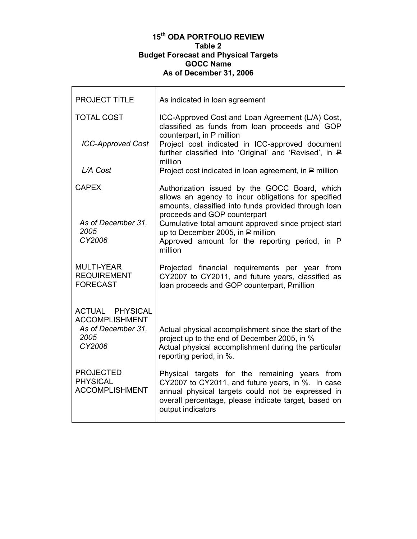### **15th ODA PORTFOLIO REVIEW Table 2 Budget Forecast and Physical Targets GOCC Name As of December 31, 2006**

| <b>PROJECT TITLE</b>                                         | As indicated in loan agreement                                                                                                                                                                                                       |
|--------------------------------------------------------------|--------------------------------------------------------------------------------------------------------------------------------------------------------------------------------------------------------------------------------------|
| <b>TOTAL COST</b>                                            | ICC-Approved Cost and Loan Agreement (L/A) Cost,<br>classified as funds from loan proceeds and GOP<br>counterpart, in P million                                                                                                      |
| <b>ICC-Approved Cost</b>                                     | Project cost indicated in ICC-approved document<br>further classified into 'Original' and 'Revised', in P<br>million                                                                                                                 |
| L/A Cost                                                     | Project cost indicated in loan agreement, in P million                                                                                                                                                                               |
| <b>CAPEX</b>                                                 | Authorization issued by the GOCC Board, which<br>allows an agency to incur obligations for specified<br>amounts, classified into funds provided through loan<br>proceeds and GOP counterpart                                         |
| As of December 31,<br>2005<br>CY2006                         | Cumulative total amount approved since project start<br>up to December 2005, in P million<br>Approved amount for the reporting period, in P<br>million                                                                               |
| <b>MULTI-YEAR</b><br><b>REQUIREMENT</b><br><b>FORECAST</b>   | Projected financial requirements per year from<br>CY2007 to CY2011, and future years, classified as<br>loan proceeds and GOP counterpart, Pmillion                                                                                   |
| ACTUAL PHYSICAL<br><b>ACCOMPLISHMENT</b>                     |                                                                                                                                                                                                                                      |
| As of December 31,<br>2005<br>CY2006                         | Actual physical accomplishment since the start of the<br>project up to the end of December 2005, in %<br>Actual physical accomplishment during the particular<br>reporting period, in %.                                             |
| <b>PROJECTED</b><br><b>PHYSICAL</b><br><b>ACCOMPLISHMENT</b> | Physical targets for the remaining years from<br>CY2007 to CY2011, and future years, in %. In case<br>annual physical targets could not be expressed in<br>overall percentage, please indicate target, based on<br>output indicators |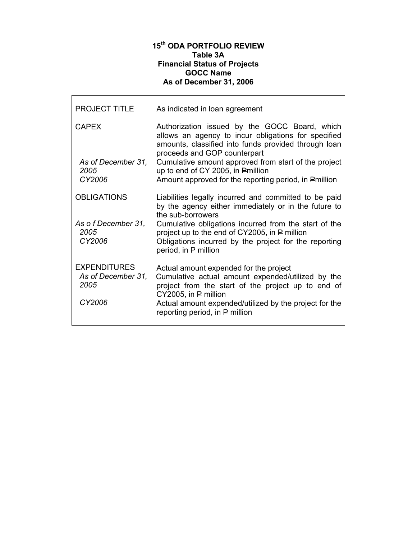## **15th ODA PORTFOLIO REVIEW Table 3A Financial Status of Projects GOCC Name As of December 31, 2006**

| <b>PROJECT TITLE</b>                                        | As indicated in loan agreement                                                                                                                                                               |
|-------------------------------------------------------------|----------------------------------------------------------------------------------------------------------------------------------------------------------------------------------------------|
| <b>CAPEX</b>                                                | Authorization issued by the GOCC Board, which<br>allows an agency to incur obligations for specified<br>amounts, classified into funds provided through loan<br>proceeds and GOP counterpart |
| As of December 31,<br>2005<br>CY2006                        | Cumulative amount approved from start of the project<br>up to end of CY 2005, in Pmillion<br>Amount approved for the reporting period, in Pmillion                                           |
| <b>OBLIGATIONS</b>                                          | Liabilities legally incurred and committed to be paid<br>by the agency either immediately or in the future to<br>the sub-borrowers                                                           |
| As of December 31,<br>2005<br>CY2006                        | Cumulative obligations incurred from the start of the<br>project up to the end of CY2005, in P million<br>Obligations incurred by the project for the reporting<br>period, in P million      |
| <b>EXPENDITURES</b><br>As of December 31,<br>2005<br>CY2006 | Actual amount expended for the project<br>Cumulative actual amount expended/utilized by the<br>project from the start of the project up to end of<br>CY2005, in P million                    |
|                                                             | Actual amount expended/utilized by the project for the<br>reporting period, in P million                                                                                                     |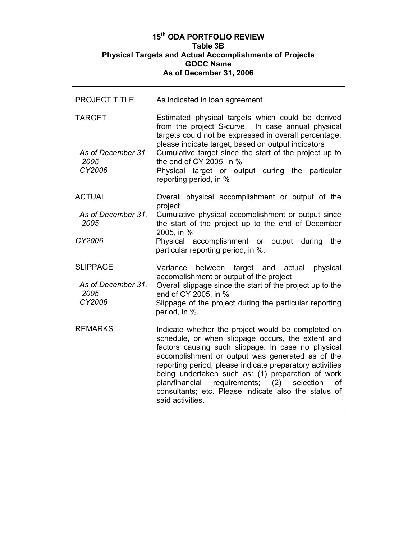### **15th ODA PORTFOLIO REVIEW Table 3B Physical Targets and Actual Accomplishments of Projects GOCC Name As of December 31, 2006**

 $\overline{\phantom{a}}$ 

| <b>PROJECT TITLE</b>                                    | As indicated in loan agreement                                                                                                                                                                                                                                                                                                                                                                                                                                              |
|---------------------------------------------------------|-----------------------------------------------------------------------------------------------------------------------------------------------------------------------------------------------------------------------------------------------------------------------------------------------------------------------------------------------------------------------------------------------------------------------------------------------------------------------------|
| <b>TARGET</b><br>As of December 31,<br>2005<br>CY2006   | Estimated physical targets which could be derived<br>from the project S-curve. In case annual physical<br>targets could not be expressed in overall percentage,<br>please indicate target, based on output indicators<br>Cumulative target since the start of the project up to<br>the end of CY 2005, in %<br>Physical target or output during the<br>particular<br>reporting period, in %                                                                                 |
| <b>ACTUAL</b>                                           | Overall physical accomplishment or output of the<br>project                                                                                                                                                                                                                                                                                                                                                                                                                 |
| As of December 31,<br>2005                              | Cumulative physical accomplishment or output since<br>the start of the project up to the end of December<br>2005, in %                                                                                                                                                                                                                                                                                                                                                      |
| CY2006                                                  | Physical accomplishment or output during<br>the<br>particular reporting period, in %.                                                                                                                                                                                                                                                                                                                                                                                       |
| <b>SLIPPAGE</b><br>As of December 31,<br>2005<br>CY2006 | target and actual<br>Variance<br>between<br>physical<br>accomplishment or output of the project<br>Overall slippage since the start of the project up to the<br>end of CY 2005, in %<br>Slippage of the project during the particular reporting<br>period, in %.                                                                                                                                                                                                            |
| <b>REMARKS</b>                                          | Indicate whether the project would be completed on<br>schedule, or when slippage occurs, the extent and<br>factors causing such slippage. In case no physical<br>accomplishment or output was generated as of the<br>reporting period, please indicate preparatory activities<br>being undertaken such as: (1) preparation of work<br>plan/financial<br>requirements;<br>(2)<br>selection<br>οf<br>consultants; etc. Please indicate also the status of<br>said activities. |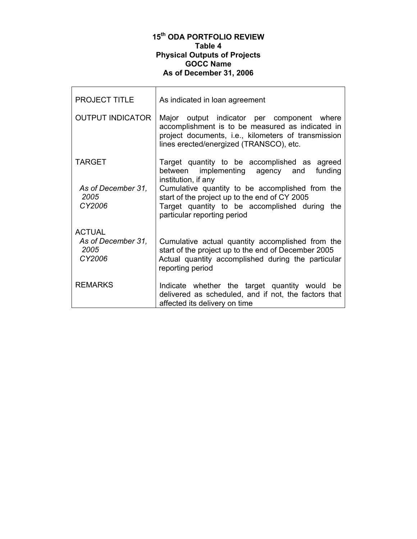### **15th ODA PORTFOLIO REVIEW Table 4 Physical Outputs of Projects GOCC Name As of December 31, 2006**

| <b>PROJECT TITLE</b>                                  | As indicated in loan agreement                                                                                                                                                                                                                                                                     |
|-------------------------------------------------------|----------------------------------------------------------------------------------------------------------------------------------------------------------------------------------------------------------------------------------------------------------------------------------------------------|
| <b>OUTPUT INDICATOR</b>                               | Major output indicator per component where<br>accomplishment is to be measured as indicated in<br>project documents, i.e., kilometers of transmission<br>lines erected/energized (TRANSCO), etc.                                                                                                   |
| <b>TARGET</b><br>As of December 31,<br>2005<br>CY2006 | Target quantity to be accomplished as agreed<br>between implementing agency and funding<br>institution, if any<br>Cumulative quantity to be accomplished from the<br>start of the project up to the end of CY 2005<br>Target quantity to be accomplished during the<br>particular reporting period |
| <b>ACTUAL</b><br>As of December 31,<br>2005<br>CY2006 | Cumulative actual quantity accomplished from the<br>start of the project up to the end of December 2005<br>Actual quantity accomplished during the particular<br>reporting period                                                                                                                  |
| <b>REMARKS</b>                                        | Indicate whether the target quantity would be<br>delivered as scheduled, and if not, the factors that<br>affected its delivery on time                                                                                                                                                             |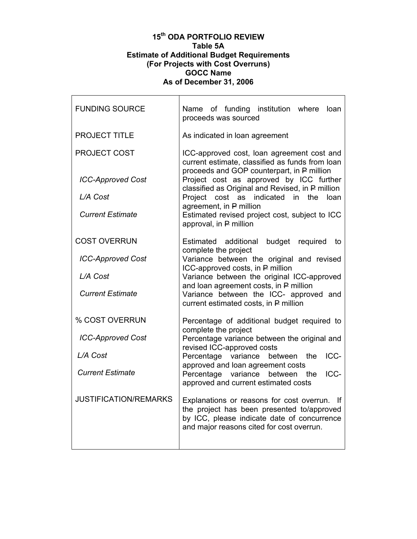#### **15th ODA PORTFOLIO REVIEW Table 5A Estimate of Additional Budget Requirements (For Projects with Cost Overruns) GOCC Name As of December 31, 2006**

| <b>FUNDING SOURCE</b>        | Name of funding institution where<br>loan<br>proceeds was sourced                                                                                                                          |
|------------------------------|--------------------------------------------------------------------------------------------------------------------------------------------------------------------------------------------|
| <b>PROJECT TITLE</b>         | As indicated in loan agreement                                                                                                                                                             |
| <b>PROJECT COST</b>          | ICC-approved cost, loan agreement cost and<br>current estimate, classified as funds from loan<br>proceeds and GOP counterpart, in P million                                                |
| <b>ICC-Approved Cost</b>     | Project cost as approved by ICC further<br>classified as Original and Revised, in P million                                                                                                |
| L/A Cost                     | indicated in the<br>cost as<br>Project<br>loan                                                                                                                                             |
| <b>Current Estimate</b>      | agreement, in P million<br>Estimated revised project cost, subject to ICC<br>approval, in P million                                                                                        |
| <b>COST OVERRUN</b>          | Estimated additional<br>budget<br>required<br>to<br>complete the project                                                                                                                   |
| <b>ICC-Approved Cost</b>     | Variance between the original and revised<br>ICC-approved costs, in P million                                                                                                              |
| L/A Cost                     | Variance between the original ICC-approved<br>and loan agreement costs, in P million                                                                                                       |
| <b>Current Estimate</b>      | Variance between the ICC- approved and<br>current estimated costs, in P million                                                                                                            |
| % COST OVERRUN               | Percentage of additional budget required to<br>complete the project                                                                                                                        |
| <b>ICC-Approved Cost</b>     | Percentage variance between the original and<br>revised ICC-approved costs                                                                                                                 |
| L/A Cost                     | Percentage variance<br>ICC-<br>the<br>between<br>approved and loan agreement costs                                                                                                         |
| <b>Current Estimate</b>      | ICC-<br>Percentage variance between<br>the<br>approved and current estimated costs                                                                                                         |
| <b>JUSTIFICATION/REMARKS</b> | Explanations or reasons for cost overrun.<br>-lf<br>the project has been presented to/approved<br>by ICC, please indicate date of concurrence<br>and major reasons cited for cost overrun. |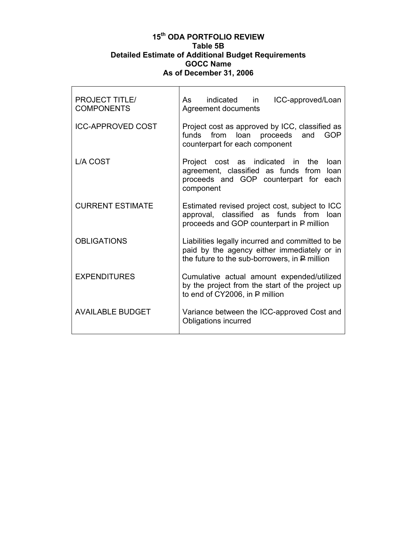## **15th ODA PORTFOLIO REVIEW Table 5B Detailed Estimate of Additional Budget Requirements GOCC Name As of December 31, 2006**

г

| <b>PROJECT TITLE/</b><br><b>COMPONENTS</b> | indicated in<br>ICC-approved/Loan<br>As<br>Agreement documents                                                                                      |
|--------------------------------------------|-----------------------------------------------------------------------------------------------------------------------------------------------------|
| <b>ICC-APPROVED COST</b>                   | Project cost as approved by ICC, classified as<br>loan proceeds<br>from<br>funds<br>and<br>GOP<br>counterpart for each component                    |
| <b>L/A COST</b>                            | Project cost as indicated in the<br>loan<br>agreement, classified as funds<br>loan<br>from<br>proceeds and GOP counterpart for<br>each<br>component |
| <b>CURRENT ESTIMATE</b>                    | Estimated revised project cost, subject to ICC<br>approval, classified as funds from loan<br>proceeds and GOP counterpart in P million              |
| <b>OBLIGATIONS</b>                         | Liabilities legally incurred and committed to be<br>paid by the agency either immediately or in<br>the future to the sub-borrowers, in $P$ million  |
| <b>EXPENDITURES</b>                        | Cumulative actual amount expended/utilized<br>by the project from the start of the project up<br>to end of CY2006, in P million                     |
| <b>AVAILABLE BUDGET</b>                    | Variance between the ICC-approved Cost and<br>Obligations incurred                                                                                  |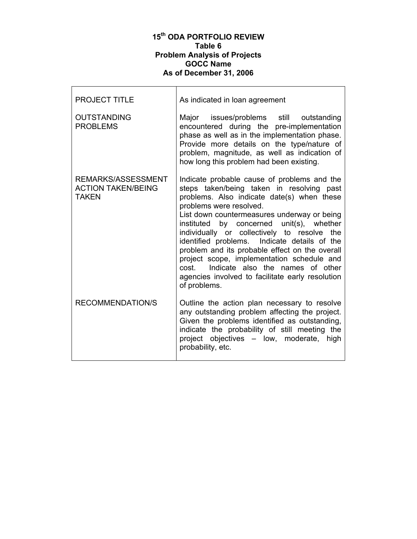#### **15th ODA PORTFOLIO REVIEW Table 6 Problem Analysis of Projects GOCC Name As of December 31, 2006**

 $\mathsf{r}$ 

| <b>PROJECT TITLE</b>                                            | As indicated in loan agreement                                                                                                                                                                                                                                                                                                                                                                                                                                                                                                                                               |
|-----------------------------------------------------------------|------------------------------------------------------------------------------------------------------------------------------------------------------------------------------------------------------------------------------------------------------------------------------------------------------------------------------------------------------------------------------------------------------------------------------------------------------------------------------------------------------------------------------------------------------------------------------|
| <b>OUTSTANDING</b><br><b>PROBLEMS</b>                           | Major issues/problems still outstanding<br>encountered during the pre-implementation<br>phase as well as in the implementation phase.<br>Provide more details on the type/nature of<br>problem, magnitude, as well as indication of<br>how long this problem had been existing.                                                                                                                                                                                                                                                                                              |
| REMARKS/ASSESSMENT<br><b>ACTION TAKEN/BEING</b><br><b>TAKEN</b> | Indicate probable cause of problems and the<br>steps taken/being taken in resolving past<br>problems. Also indicate date(s) when these<br>problems were resolved.<br>List down countermeasures underway or being<br>instituted by concerned unit(s), whether<br>individually or collectively to resolve the<br>identified problems. Indicate details of the<br>problem and its probable effect on the overall<br>project scope, implementation schedule and<br>Indicate also the names of other<br>cost.<br>agencies involved to facilitate early resolution<br>of problems. |
| <b>RECOMMENDATION/S</b>                                         | Outline the action plan necessary to resolve<br>any outstanding problem affecting the project.<br>Given the problems identified as outstanding,<br>indicate the probability of still meeting the<br>project objectives - low, moderate,<br>high<br>probability, etc.                                                                                                                                                                                                                                                                                                         |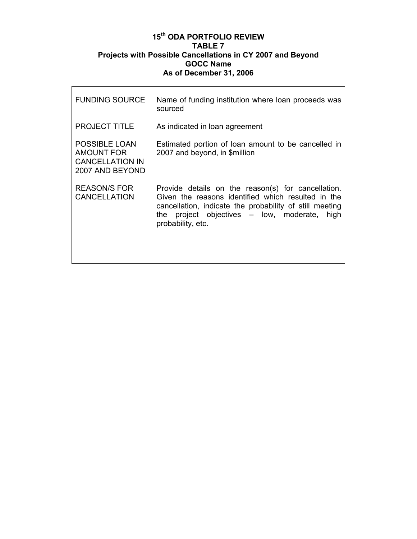### **15th ODA PORTFOLIO REVIEW TABLE 7 Projects with Possible Cancellations in CY 2007 and Beyond GOCC Name As of December 31, 2006**

 $\mathsf{r}$ 

| <b>FUNDING SOURCE</b>                                                                  | Name of funding institution where loan proceeds was<br>sourced                                                                                                                                                                                |
|----------------------------------------------------------------------------------------|-----------------------------------------------------------------------------------------------------------------------------------------------------------------------------------------------------------------------------------------------|
| <b>PROJECT TITLE</b>                                                                   | As indicated in loan agreement                                                                                                                                                                                                                |
| <b>POSSIBLE LOAN</b><br><b>AMOUNT FOR</b><br><b>CANCELLATION IN</b><br>2007 AND BEYOND | Estimated portion of loan amount to be cancelled in<br>2007 and beyond, in \$million                                                                                                                                                          |
| <b>REASON/S FOR</b><br><b>CANCELLATION</b>                                             | Provide details on the reason(s) for cancellation.<br>Given the reasons identified which resulted in the<br>cancellation, indicate the probability of still meeting<br>the project objectives $-$ low, moderate,<br>high<br>probability, etc. |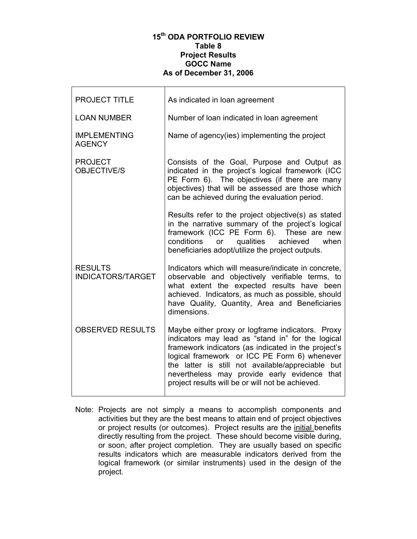#### **15th ODA PORTFOLIO REVIEW Table 8 Project Results GOCC Name As of December 31, 2006**

| <b>PROJECT TITLE</b>                       | As indicated in loan agreement                                                                                                                                                                                                                                                                                                                                           |
|--------------------------------------------|--------------------------------------------------------------------------------------------------------------------------------------------------------------------------------------------------------------------------------------------------------------------------------------------------------------------------------------------------------------------------|
| <b>LOAN NUMBER</b>                         | Number of loan indicated in loan agreement                                                                                                                                                                                                                                                                                                                               |
| <b>IMPLEMENTING</b><br><b>AGENCY</b>       | Name of agency(ies) implementing the project                                                                                                                                                                                                                                                                                                                             |
| <b>PROJECT</b><br><b>OBJECTIVE/S</b>       | Consists of the Goal, Purpose and Output as<br>indicated in the project's logical framework (ICC<br>PE Form 6). The objectives (if there are many<br>objectives) that will be assessed are those which<br>can be achieved during the evaluation period.                                                                                                                  |
|                                            | Results refer to the project objective(s) as stated<br>in the narrative summary of the project's logical<br>framework (ICC PE Form 6). These are new<br>conditions<br>qualities achieved<br>or<br>when<br>beneficiaries adopt/utilize the project outputs.                                                                                                               |
| <b>RESULTS</b><br><b>INDICATORS/TARGET</b> | Indicators which will measure/indicate in concrete,<br>observable and objectively verifiable terms, to<br>what extent the expected results have been<br>achieved. Indicators, as much as possible, should<br>have Quality, Quantity, Area and Beneficiaries<br>dimensions.                                                                                               |
| <b>OBSERVED RESULTS</b>                    | Maybe either proxy or logframe indicators. Proxy<br>indicators may lead as "stand in" for the logical<br>framework indicators (as indicated in the project's<br>logical framework or ICC PE Form 6) whenever<br>the latter is still not available/appreciable but<br>nevertheless may provide early evidence<br>that<br>project results will be or will not be achieved. |

Note: Projects are not simply a means to accomplish components and activities but they are the best means to attain end of project objectives or project results (or outcomes). Project results are the initial benefits directly resulting from the project. These should become visible during, or soon, after project completion. They are usually based on specific results indicators which are measurable indicators derived from the logical framework (or similar instruments) used in the design of the project.